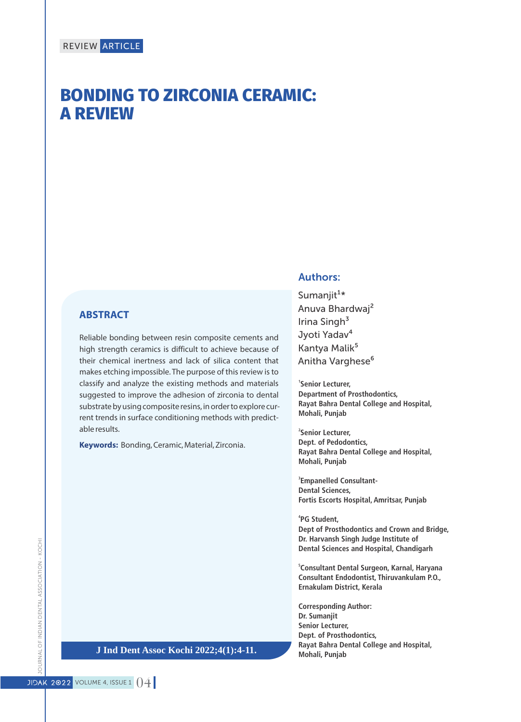# **BONDING TO ZIRCONIA CERAMIC: A REVIEW**

#### **ABSTRACT**

Reliable bonding between resin composite cements and high strength ceramics is difficult to achieve because of their chemical inertness and lack of silica content that makes etching impossible. The purpose of this review is to classify and analyze the existing methods and materials suggested to improve the adhesion of zirconia to dental substrate by using composite resins, in order to explore current trends in surface conditioning methods with predictable results.

**Keywords:** Bonding, Ceramic, Material, Zirconia.

#### Authors:

Sumanjit $1*$ Anuva Bhardwaj² Irina Singh<sup>3</sup> Jyoti Yadav<sup>4</sup> Kantya Malik<sup>5</sup> Anitha Varghese<sup>6</sup>

**1 Senior Lecturer, Department of Prosthodontics, Rayat Bahra Dental College and Hospital, Mohali, Punjab**

**2 Senior Lecturer, Dept. of Pedodontics, Rayat Bahra Dental College and Hospital, Mohali, Punjab**

**3 Empanelled Consultant-Dental Sciences, Fortis Escorts Hospital, Amritsar, Punjab**

**4 PG Student, Dept of Prosthodontics and Crown and Bridge, Dr. Harvansh Singh Judge Institute of Dental Sciences and Hospital, Chandigarh**

**5 Consultant Dental Surgeon, Karnal, Haryana Consultant Endodontist, Thiruvankulam P.O., Ernakulam District, Kerala**

**Corresponding Author: Dr. Sumanjit Senior Lecturer, Dept. of Prosthodontics, Rayat Bahra Dental College and Hospital, Mohali, Punjab** 

IOURNAL OF INDIAN DENTAL ASSOCIATION - KOCHI JOURNAL OF INDIAN DENTAL ASSOCIATION - KOCHI

**J Ind Dent Assoc Kochi 2022;4(1):4-11.**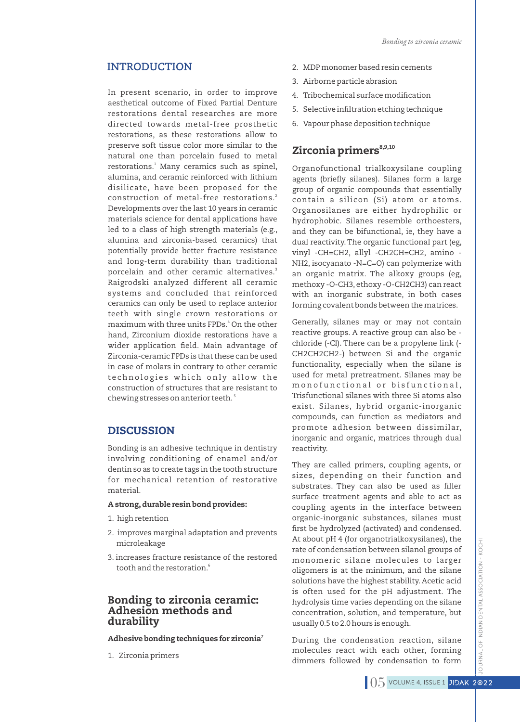In present scenario, in order to improve aesthetical outcome of Fixed Partial Denture restorations dental researches are more directed towards metal-free prosthetic restorations, as these restorations allow to preserve soft tissue color more similar to the natural one than porcelain fused to metal restorations.<sup>1</sup> Many ceramics such as spinel, alumina, and ceramic reinforced with lithium disilicate, have been proposed for the construction of metal-free restorations.<sup>2</sup> Developments over the last 10 years in ceramic materials science for dental applications have led to a class of high strength materials (e.g., alumina and zirconia-based ceramics) that potentially provide better fracture resistance and long-term durability than traditional 3 porcelain and other ceramic alternatives. Raigrodski analyzed different all ceramic systems and concluded that reinforced ceramics can only be used to replace anterior teeth with single crown restorations or maximum with three units FPDs.<sup>4</sup> On the other hand, Zirconium dioxide restorations have a wider application field. Main advantage of Zirconia-ceramic FPDs is that these can be used in case of molars in contrary to other ceramic technologies which only allow the construction of structures that are resistant to chewing stresses on anterior teeth.  $^{\mathrm{5}}$ 

## **DISCUSSION**

Bonding is an adhesive technique in dentistry involving conditioning of enamel and/or dentin so as to create tags in the tooth structure for mechanical retention of restorative material.

#### A strong,durable resin bond provides:

- 1. high retention
- 2. improves marginal adaptation and prevents microleakage
- 3. increases fracture resistance of the restored 6 tooth and the restoration.

#### Bonding to zirconia ceramic: Adhesion methods and durability

Adhesive bonding techniques for zirconia<sup>7</sup>

1. Zirconia primers

- **INTRODUCTION** 2. MDP monomer based resin cements
	- 3. Airborne particle abrasion
	- 4. Tribochemical surface modification
	- 5. Selective infiltration etching technique
	- 6. Vapour phase deposition technique

# Zirconia primers<sup>8,9,10</sup>

Organofunctional trialkoxysilane coupling agents (briefly silanes). Silanes form a large group of organic compounds that essentially contain a silicon (Si) atom or atoms. Organosilanes are either hydrophilic or hydrophobic. Silanes resemble orthoesters, and they can be bifunctional, ie, they have a dual reactivity.The organic functional part (eg, vinyl -CH=CH2, allyl -CH2CH=CH2, amino - NH2, isocyanato -N=C=O) can polymerize with an organic matrix. The alkoxy groups (eg, methoxy -O-CH3, ethoxy -O-CH2CH3) can react with an inorganic substrate, in both cases forming covalent bonds between the matrices.

Generally, silanes may or may not contain reactive groups. A reactive group can also be chloride (-Cl). There can be a propylene link (- CH2CH2CH2-) between Si and the organic functionality, especially when the silane is used for metal pretreatment. Silanes may be monofunctional or bisfunctional, Trisfunctional silanes with three Si atoms also exist. Silanes, hybrid organic-inorganic compounds, can function as mediators and promote adhesion between dissimilar, inorganic and organic, matrices through dual reactivity.

They are called primers, coupling agents, or sizes, depending on their function and substrates. They can also be used as filler surface treatment agents and able to act as coupling agents in the interface between organic-inorganic substances, silanes must first be hydrolyzed (activated) and condensed. At about pH 4 (for organotrialkoxysilanes), the rate of condensation between silanol groups of monomeric silane molecules to larger oligomers is at the minimum, and the silane solutions have the highest stability. Acetic acid is often used for the pH adjustment. The hydrolysis time varies depending on the silane concentration, solution, and temperature, but usually 0.5 to 2.0 hours is enough.

During the condensation reaction, silane molecules react with each other, forming dimmers followed by condensation to form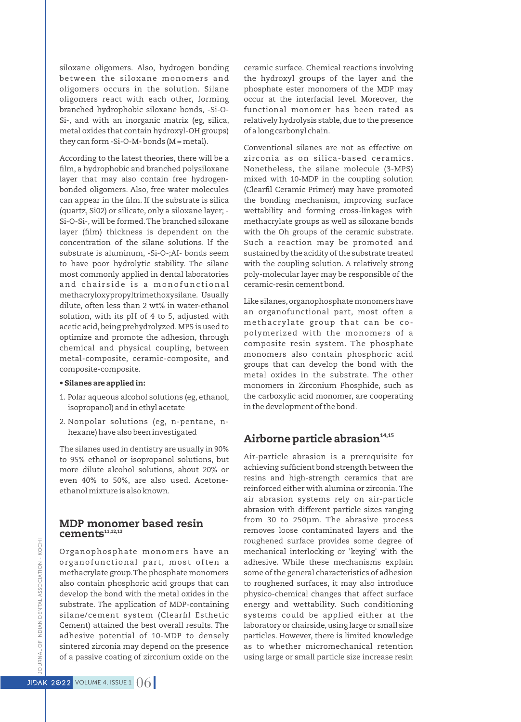siloxane oligomers. Also, hydrogen bonding between the siloxane monomers and oligomers occurs in the solution. Silane oligomers react with each other, forming branched hydrophobic siloxane bonds, -Si-O-Si-, and with an inorganic matrix (eg, silica, metal oxides that contain hydroxyl-OH groups) they can form -Si-O-M- bonds ( $M = metal$ ).

According to the latest theories, there will be a film, a hydrophobic and branched polysiloxane layer that may also contain free hydrogenbonded oligomers. Also, free water molecules can appear in the film. If the substrate is silica (quartz, Si02) or silicate, only a siloxane layer; - Si-O-Si-, will be formed.The branched siloxane layer (film) thickness is dependent on the concentration of the silane solutions. lf the substrate is aluminum, -Si-O-;AI- bonds seem to have poor hydrolytic stability. The silane most commonly applied in dental laboratories and chairside is a monofunctional methacryloxypropyltrimethoxysilane. Usually dilute, often less than 2 wt% in water-ethanol solution, with its pH of 4 to 5, adjusted with acetic acid, being prehydrolyzed.MPS is used to optimize and promote the adhesion, through chemical and physical coupling, between metal-composite, ceramic-composite, and composite-composite.

#### • Silanes are applied in:

- 1. Polar aqueous alcohol solutions (eg, ethanol, isopropanol) and in ethyl acetate
- 2. Nonpolar solutions (eg, n-pentane, nhexane) have also been investigated

The silanes used in dentistry are usually in 90% to 95% ethanol or isopropanol solutions, but more dilute alcohol solutions, about 20% or even 40% to 50%, are also used. Acetoneethanol mixture is also known.

#### MDP monomer based resin  $c$ ements $^{11,12,13}$

Organophosphate monomers have an organofunctional part, most often a methacrylate group.The phosphate monomers also contain phosphoric acid groups that can develop the bond with the metal oxides in the substrate. The application of MDP-containing silane/cement system (Clearfil Esthetic Cement) attained the best overall results. The adhesive potential of 10-MDP to densely sintered zirconia may depend on the presence of a passive coating of zirconium oxide on the ceramic surface. Chemical reactions involving the hydroxyl groups of the layer and the phosphate ester monomers of the MDP may occur at the interfacial level. Moreover, the functional monomer has been rated as relatively hydrolysis stable, due to the presence of a long carbonyl chain.

Conventional silanes are not as effective on zi rconia as on silica-based ceramics. Nonetheless, the silane molecule (3-MPS) mixed with 10-MDP in the coupling solution (Clearfil Ceramic Primer) may have promoted the bonding mechanism, improving surface wettability and forming cross-linkages with methacrylate groups as well as siloxane bonds with the Oh groups of the ceramic substrate. Such a reaction may be promoted and sustained by the acidity of the substrate treated with the coupling solution. A relatively strong poly-molecular layer may be responsible of the ceramic-resin cement bond.

Like silanes,organophosphate monomers have an organofunctional part, most often a methacrylate group that can be copolymerized with the monomers of a composite resin system. The phosphate monomers also contain phosphoric acid groups that can develop the bond with the metal oxides in the substrate. The other monomers in Zirconium Phosphide, such as the carboxylic acid monomer, are cooperating in the development of the bond.

#### Airborne particle abrasion $14,15$

Air-particle abrasion is a prerequisite for achieving sufficient bond strength between the resins and high-strength ceramics that are reinforced either with alumina or zirconia. The air abrasion systems rely on air-particle abrasion with different particle sizes ranging from 30 to 250μm. The abrasive process removes loose contaminated layers and the roughened surface provides some degree of mechanical interlocking or 'keying' with the adhesive. While these mechanisms explain some of the general characteristics of adhesion to roughened surfaces, it may also introduce physico-chemical changes that affect surface energy and wettability. Such conditioning systems could be applied either at the laboratory or chairside, using large or small size particles. However, there is limited knowledge as to whether micromechanical retention using large or small particle size increase resin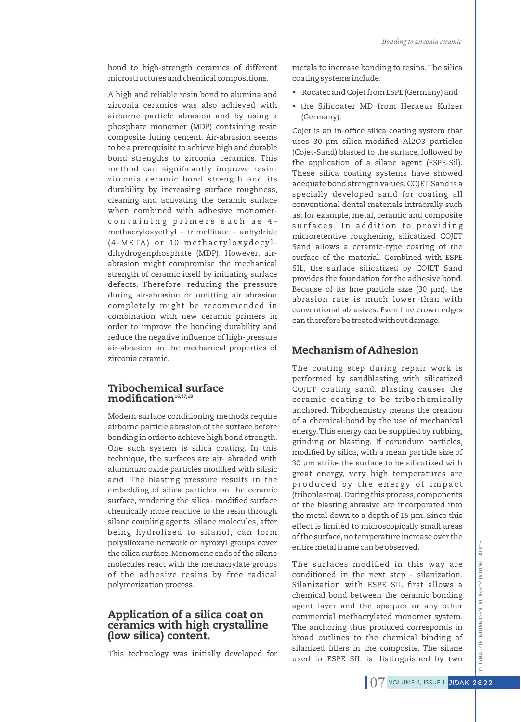bond to high-strength ceramics of different microstructures and chemical compositions.

A high and reliable resin bond to alumina and zirconia ceramics was also achieved with airborne particle abrasion and by using a phosphate monomer (MDP) containing resin composite luting cement. Air-abrasion seems to be a prerequisite to achieve high and durable bond strengths to zirconia ceramics. This method can significantly improve resinzirconia ceramic bond strength and its durability by increasing surface roughness, cleaning and activating the ceramic surface when combined with adhesive monomercontaining primers such as 4methacryloxyethyl - trimellitate - anhydride (4-META) or 10-methacryloxydecyldihydrogenphosphate (MDP). However, airabrasion might compromise the mechanical strength of ceramic itself by initiating surface defects. Therefore, reducing the pressure during air-abrasion or omitting air abrasion completely might be recommended in combination with new ceramic primers in order to improve the bonding durability and reduce the negative influence of high-pressure air-abrasion on the mechanical properties of zirconia ceramic.

#### Tribochemical surface  $$

Modern surface conditioning methods require airborne particle abrasion of the surface before bonding in order to achieve high bond strength. One such system is silica coating. In this technique, the surfaces are air- abraded with aluminum oxide particles modified with silisic acid. The blasting pressure results in the embedding of silica particles on the ceramic surface, rendering the silica- modified surface chemically more reactive to the resin through silane coupling agents. Silane molecules, after being hydrolized to silanol, can form polysiloxane network or hyroxyl groups cover the silica surface.Monomeric ends of the silane molecules react with the methacrylate groups of the adhesive resins by free radical polymerization process.

#### Application of a silica coat on ceramics with high crystalline (low silica) content.

This technology was initially developed for

metals to increase bonding to resins.The silica coating systems include:

- Rocatec and Cojet from ESPE (Germany) and
- the Silicoater MD from Heraeus Kulzer (Germany).

Cojet is an in-office silica coating system that uses 30-µm silica-modified Al2O3 particles (Cojet-Sand) blasted to the surface, followed by the application of a silane agent (ESPE-Sil). These silica coating systems have showed adequate bond strength values.COJET Sand is a specially developed sand for coating all conventional dental materials intraorally such as, for example, metal, ceramic and composite surfaces. In addition to providing microretentive roughening, silicatized COJET Sand allows a ceramic-type coating of the surface of the material. Combined with ESPE SIL, the surface silicatized by COJET Sand provides the foundation for the adhesive bond. Because of its fine particle size (30 µm), the abrasion rate is much lower than with conventional abrasives. Even fine crown edges can therefore be treated without damage.

#### Mechanism of Adhesion

The coating step during repair work is performed by sandblasting with silicatized COJET coating sand. Blasting causes the ceramic coating to be tribochemically anchored. Tribochemistry means the creation of a chemical bond by the use of mechanical energy.This energy can be supplied by rubbing, grinding or blasting. If corundum particles, modified by silica, with a mean particle size of 30 μm strike the surface to be silicatized with great energy, very high temperatures are produced by the energy of impact (triboplasma).During this process, components of the blasting abrasive are incorporated into the metal down to a depth of 15 μm. Since this effect is limited to microscopically small areas of the surface,no temperature increase over the entire metal frame can be observed.

The surfaces modified in this way are conditioned in the next step - silanization. Silanization with ESPE SIL first allows a chemical bond between the ceramic bonding agent layer and the opaquer or any other commercial methacrylated monomer system. The anchoring thus produced corresponds in broad outlines to the chemical binding of silanized fillers in the composite. The silane used in ESPE SIL is distinguished by two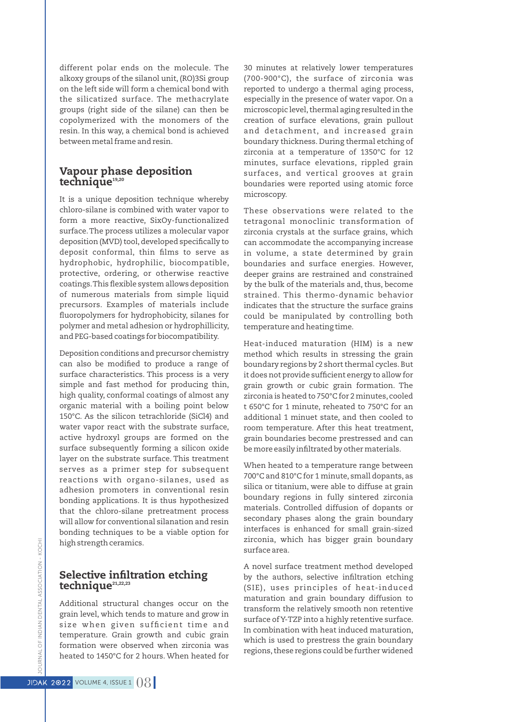different polar ends on the molecule. The alkoxy groups of the silanol unit, (RO)3Si group on the left side will form a chemical bond with the silicatized surface. The methacrylate groups (right side of the silane) can then be copolymerized with the monomers of the resin. In this way, a chemical bond is achieved between metal frame and resin.

#### Vapour phase deposition technique<sup>19,20</sup>

It is a unique deposition technique whereby chloro-silane is combined with water vapor to form a more reactive, SixOy-functionalized surface.The process utilizes a molecular vapor deposition (MVD) tool, developed specifically to deposit conformal, thin films to serve as hydrophobic, hydrophilic, biocompatible, protective, ordering, or otherwise reactive coatings. This flexible system allows deposition of numerous materials from simple liquid precursors. Examples of materials include fluoropolymers for hydrophobicity, silanes for polymer and metal adhesion or hydrophillicity, and PEG-based coatings for biocompatibility.

Deposition conditions and precursor chemistry can also be modified to produce a range of surface characteristics. This process is a very simple and fast method for producing thin, high quality, conformal coatings of almost any organic material with a boiling point below 150°C. As the silicon tetrachloride (SiCl4) and water vapor react with the substrate surface, active hydroxyl groups are formed on the surface subsequently forming a silicon oxide layer on the substrate surface. This treatment serves as a primer step for subsequent reactions with organo-silanes, used as adhesion promoters in conventional resin bonding applications. It is thus hypothesized that the chloro-silane pretreatment process will allow for conventional silanation and resin bonding techniques to be a viable option for high strength ceramics.

### Selective infiltration etching technique<sup>21,22,23</sup>

Additional structural changes occur on the grain level, which tends to mature and grow in size when given sufficient time and temperature. Grain growth and cubic grain formation were observed when zirconia was heated to 1450°C for 2 hours. When heated for 30 minutes at relatively lower temperatures (700-900°C), the surface of zirconia was reported to undergo a thermal aging process, especially in the presence of water vapor. On a microscopic level, thermal aging resulted in the creation of surface elevations, grain pullout and detachment, and increased grain boundary thickness. During thermal etching of zirconia at a temperature of 1350°C for 12 minutes, surface elevations, rippled grain surfaces, and vertical grooves at grain boundaries were reported using atomic force microscopy.

These observations were related to the tetragonal monoclinic transformation of zirconia crystals at the surface grains, which can accommodate the accompanying increase in volume, a state determined by grain boundaries and surface energies. However, deeper grains are restrained and constrained by the bulk of the materials and, thus, become strained. This thermo-dynamic behavior indicates that the structure the surface grains could be manipulated by controlling both temperature and heating time.

Heat-induced maturation (HIM) is a new method which results in stressing the grain boundary regions by 2 short thermal cycles.But it does not provide sufficient energy to allow for grain growth or cubic grain formation. The zirconia is heated to 750°C for 2 minutes, cooled t 650°C for 1 minute, reheated to 750°C for an additional 1 minuet state, and then cooled to room temperature. After this heat treatment, grain boundaries become prestressed and can be more easily infiltrated by other materials.

When heated to a temperature range between 700°C and 810°C for 1 minute, small dopants, as silica or titanium, were able to diffuse at grain boundary regions in fully sintered zirconia materials. Controlled diffusion of dopants or secondary phases along the grain boundary interfaces is enhanced for small grain-sized zirconia, which has bigger grain boundary surface area.

A novel surface treatment method developed by the authors, selective infiltration etching (SIE), uses principles of heat-induced maturation and grain boundary diffusion to transform the relatively smooth non retentive surface of Y-TZP into a highly retentive surface. In combination with heat induced maturation, which is used to prestress the grain boundary regions,these regions could be further widened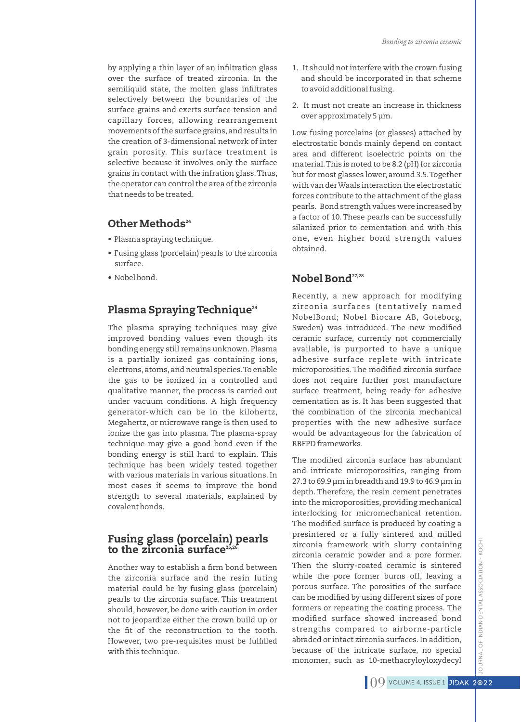by applying a thin layer of an infiltration glass over the surface of treated zirconia. In the semiliquid state, the molten glass infiltrates selectively between the boundaries of the surface grains and exerts surface tension and capillary forces, allowing rearrangement movements of the surface grains, and results in the creation of 3-dimensional network of inter grain porosity. This surface treatment is selective because it involves only the surface grains in contact with the infration glass.Thus, the operator can control the area of the zirconia that needs to be treated.

# Other Methods<sup>24</sup>

- Plasma spraying technique.
- Fusing glass (porcelain) pearls to the zirconia surface.
- Nobel bond.

# Plasma Spraying Technique<sup>24</sup>

The plasma spraying techniques may give improved bonding values even though its bonding energy still remains unknown. Plasma is a partially ionized gas containing ions, electrons,atoms,and neutral species.To enable the gas to be ionized in a controlled and qualitative manner, the process is carried out under vacuum conditions. A high frequency generator-which can be in the kilohertz, Megahertz, or microwave range is then used to ionize the gas into plasma. The plasma-spray technique may give a good bond even if the bonding energy is still hard to explain. This technique has been widely tested together with various materials in various situations. In most cases it seems to improve the bond strength to several materials, explained by covalent bonds.

# Fusing glass (porcelain) pearls to the zirconia surface<sup>2</sup>

Another way to establish a firm bond between the zirconia surface and the resin luting material could be by fusing glass (porcelain) pearls to the zirconia surface. This treatment should, however, be done with caution in order not to jeopardize either the crown build up or the fit of the reconstruction to the tooth. However, two pre-requisites must be fulfilled with this technique.

- 1. It should not interfere with the crown fusing and should be incorporated in that scheme to avoid additional fusing.
- 2. It must not create an increase in thickness over approximately 5 μm.

Low fusing porcelains (or glasses) attached by electrostatic bonds mainly depend on contact area and different isoelectric points on the material.This is noted to be 8.2 (pH) for zirconia but for most glasses lower, around 3.5.Together with van der Waals interaction the electrostatic forces contribute to the attachment of the glass pearls. Bond strength values were increased by a factor of 10.These pearls can be successfully silanized prior to cementation and with this one, even higher bond strength values obtained.

# Nobel Bond<sup>27,28</sup>

Recently, a new approach for modifying zirconia surfaces (tentatively named NobelBond; Nobel Biocare AB, Goteborg, Sweden) was introduced. The new modified ceramic surface, currently not commercially available, is purported to have a unique adhesive surface replete with intricate microporosities. The modified zirconia surface does not require further post manufacture surface treatment, being ready for adhesive cementation as is. It has been suggested that the combination of the zirconia mechanical properties with the new adhesive surface would be advantageous for the fabrication of RBFPD frameworks.

The modified zirconia surface has abundant and intricate microporosities, ranging from 27.3 to 69.9 μm in breadth and 19.9 to 46.9 μm in depth. Therefore, the resin cement penetrates into the microporosities, providing mechanical interlocking for micromechanical retention. The modified surface is produced by coating a presintered or a fully sintered and milled zirconia framework with slurry containing zirconia ceramic powder and a pore former. Then the slurry-coated ceramic is sintered while the pore former burns off, leaving a porous surface. The porosities of the surface can be modified by using different sizes of pore formers or repeating the coating process. The modified surface showed increased bond strengths compared to airborne-particle abraded or intact zirconia surfaces. In addition, because of the intricate surface, no special monomer, such as 10-methacryloyloxydecyl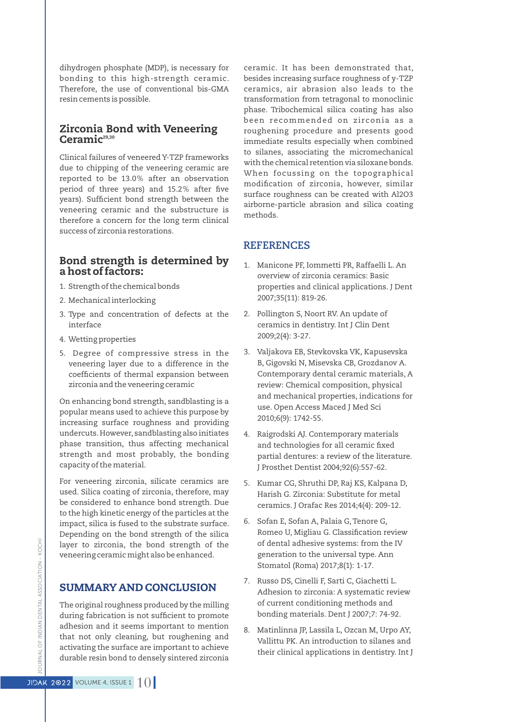dihydrogen phosphate (MDP), is necessary for bonding to this high-strength ceramic. Therefore, the use of conventional bis-GMA resin cements is possible.

### Zirconia Bond with Veneering  $Ceramic<sup>29,30</sup>$

Clinical failures of veneered Y-TZP frameworks due to chipping of the veneering ceramic are reported to be 13.0% after an observation period of three years) and 15.2% after five years). Sufficient bond strength between the veneering ceramic and the substructure is therefore a concern for the long term clinical success of zirconia restorations.

#### Bond strength is determined by a host of factors:

- 1. Strength of the chemical bonds
- 2. Mechanical interlocking
- 3. Type and concentration of defects at the interface
- 4. Wetting properties
- 5. Degree of compressive stress in the veneering layer due to a difference in the coefficients of thermal expansion between zirconia and the veneering ceramic

On enhancing bond strength, sandblasting is a popular means used to achieve this purpose by increasing surface roughness and providing undercuts.However, sandblasting also initiates phase transition, thus affecting mechanical strength and most probably, the bonding capacity of the material.

For veneering zirconia, silicate ceramics are used. Silica coating of zirconia, therefore, may be considered to enhance bond strength. Due to the high kinetic energy of the particles at the impact, silica is fused to the substrate surface. Depending on the bond strength of the silica layer to zirconia, the bond strength of the veneering ceramic might also be enhanced.

# SUMMARY AND CONCLUSION

The original roughness produced by the milling during fabrication is not sufficient to promote adhesion and it seems important to mention that not only cleaning, but roughening and activating the surface are important to achieve durable resin bond to densely sintered zirconia ceramic. It has been demonstrated that, besides increasing surface roughness of y-TZP ceramics, air abrasion also leads to the transformation from tetragonal to monoclinic phase. Tribochemical silica coating has also been recommended on zirconia as a roughening procedure and presents good immediate results especially when combined to silanes, associating the micromechanical with the chemical retention via siloxane bonds. When focussing on the topographical modification of zirconia, however, similar surface roughness can be created with Al2O3 airborne-particle abrasion and silica coating methods.

### **REFERENCES**

- 1. Manicone PF, Iommetti PR, Raffaelli L. An overview of zirconia ceramics: Basic properties and clinical applications. J Dent 2007;35(11): 819-26.
- 2. Pollington S, Noort RV. An update of ceramics in dentistry. Int J Clin Dent 2009;2(4): 3-27.
- 3. Valjakova EB, Stevkovska VK, Kapusevska B, Gigovski N, Misevska CB, Grozdanov A. Contemporary dental ceramic materials, A review: Chemical composition, physical and mechanical properties, indications for use. Open Access Maced J Med Sci 2010;6(9): 1742-55.
- 4. Raigrodski AJ. Contemporary materials and technologies for all ceramic fixed partial dentures: a review of the literature. J Prosthet Dentist 2004;92(6):557-62.
- 5. Kumar CG, Shruthi DP, Raj KS, Kalpana D, Harish G. Zirconia: Substitute for metal ceramics. J Orafac Res 2014;4(4): 209-12.
- 6. Sofan E, Sofan A, Palaia G, Tenore G, Romeo U, Migliau G. Classification review of dental adhesive systems: from the IV generation to the universal type. Ann Stomatol (Roma) 2017;8(1): 1-17.
- 7. Russo DS, Cinelli F, Sarti C, Giachetti L. Adhesion to zirconia: A systematic review of current conditioning methods and bonding materials. Dent J 2007;7: 74-92.
- 8. Matinlinna JP, Lassila L, Ozcan M, Urpo AY, Vallittu PK. An introduction to silanes and their clinical applications in dentistry. Int J